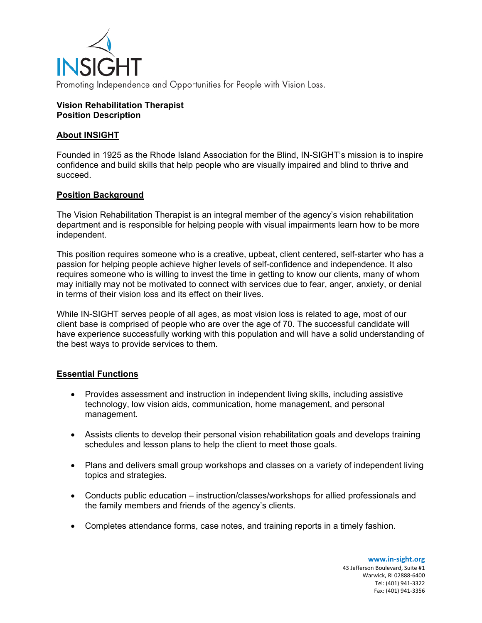

#### **Vision Rehabilitation Therapist Position Description**

## **About INSIGHT**

Founded in 1925 as the Rhode Island Association for the Blind, IN-SIGHT's mission is to inspire confidence and build skills that help people who are visually impaired and blind to thrive and succeed.

# **Position Background**

The Vision Rehabilitation Therapist is an integral member of the agency's vision rehabilitation department and is responsible for helping people with visual impairments learn how to be more independent.

This position requires someone who is a creative, upbeat, client centered, self-starter who has a passion for helping people achieve higher levels of self-confidence and independence. It also requires someone who is willing to invest the time in getting to know our clients, many of whom may initially may not be motivated to connect with services due to fear, anger, anxiety, or denial in terms of their vision loss and its effect on their lives.

While IN-SIGHT serves people of all ages, as most vision loss is related to age, most of our client base is comprised of people who are over the age of 70. The successful candidate will have experience successfully working with this population and will have a solid understanding of the best ways to provide services to them.

### **Essential Functions**

- Provides assessment and instruction in independent living skills, including assistive technology, low vision aids, communication, home management, and personal management.
- Assists clients to develop their personal vision rehabilitation goals and develops training schedules and lesson plans to help the client to meet those goals.
- Plans and delivers small group workshops and classes on a variety of independent living topics and strategies.
- Conducts public education instruction/classes/workshops for allied professionals and the family members and friends of the agency's clients.
- Completes attendance forms, case notes, and training reports in a timely fashion.